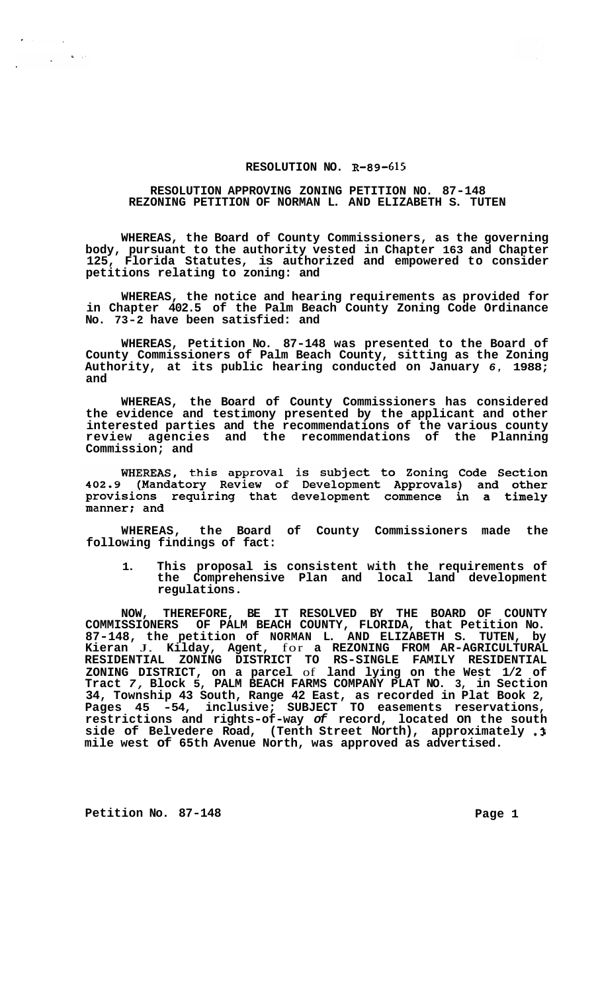## **RESOLUTION NO. R-89-615**

## **RESOLUTION APPROVING ZONING PETITION NO. 87-148 REZONING PETITION OF NORMAN L. AND ELIZABETH S. TUTEN**

**WHEREAS, the Board of County Commissioners, as the governing body, pursuant to the authority vested in Chapter 163 and Chapter 125, Florida Statutes, is authorized and empowered to consider petitions relating to zoning: and** 

**WHEREAS, the notice and hearing requirements as provided for in Chapter 402.5 of the Palm Beach County Zoning Code Ordinance No. 73-2 have been satisfied: and** 

**WHEREAS, Petition No. 87-148 was presented to the Board of County Commissioners of Palm Beach County, sitting as the Zoning Authority, at its public hearing conducted on January** *6,* **1988; and** 

**WHEREAS, the Board of County Commissioners has considered the evidence and testimony presented by the applicant and other interested parties and the recommendations of the various county review agencies and the recommendations of the Planning Commission; and** 

WHEREAS, this approval is subject to Zoning Code Section 402.9 (Mandatory Review of Development Approvals) and other provisions requiring that development commence in a timely manner; and

**WHEREAS, the Board of County Commissioners made the following findings of fact:** 

**1. This proposal is consistent with the requirements of the Comprehensive Plan and local land development regulations.** 

**NOW, THEREFORE, BE IT RESOLVED BY THE BOARD OF COUNTY COMMISSIONERS OF PALM BEACH COUNTY, FLORIDA, that Petition No. 87-148, the petition of NORMAN L. AND ELIZABETH S. TUTEN, by Kieran** J. **Kilday, Agent,** for **a REZONING FROM AR-AGRICULTURAL ZONING DISTRICT, on a parcel** of **land lying on the West 1/2 of Tract** *7,* **Block 5, PALM BEACH FARMS COMPANY PLAT NO. 3, in Section 34, Township 43 South, Range 42 East, as recorded in Plat Book 2, Pages 45 -54, inclusive; SUBJECT TO easements reservations, restrictions and rights-of-way** *of* **record, located on the south side of Belvedere Road, (Tenth Street North), approximately .3 mile west of 65th Avenue North, was approved as advertised. RESIDENTIAL ZONING DISTRICT TO RS-SINGLE FAMILY RESIDENTIAL** 

**Petition No. 87-148** Page 1

 $\mathbf{L}=\mathbf{L}^2$ 

 $\mathcal{L}^{\mathcal{L}}$